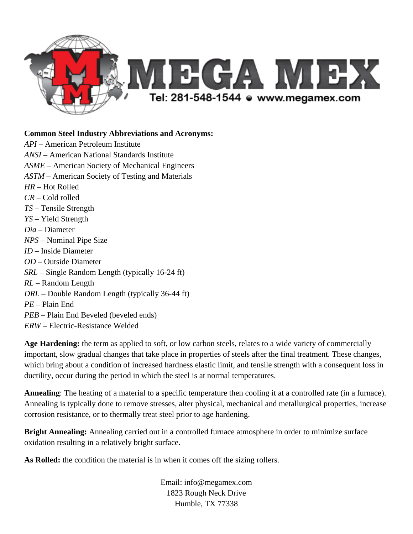

## **Common Steel Industry Abbreviations and Acronyms:**

*API* – American Petroleum Institute *ANSI* – American National Standards Institute *ASME* – American Society of Mechanical Engineers *ASTM* – American Society of Testing and Materials *HR –* Hot Rolled *CR –* Cold rolled *TS –* Tensile Strength *YS –* Yield Strength *Dia –* Diameter *NPS* – Nominal Pipe Size *ID –* Inside Diameter *OD –* Outside Diameter *SRL* – Single Random Length (typically 16-24 ft) *RL* – Random Length *DRL* – Double Random Length (typically 36-44 ft) *PE* – Plain End *PEB* – Plain End Beveled (beveled ends) *ERW* – Electric-Resistance Welded

**Age Hardening:** the term as applied to soft, or low carbon steels, relates to a wide variety of commercially important, slow gradual changes that take place in properties of steels after the final treatment. These changes, which bring about a condition of increased hardness elastic limit, and tensile strength with a consequent loss in ductility, occur during the period in which the steel is at normal temperatures.

**Annealing**: The heating of a material to a specific temperature then cooling it at a controlled rate (in a furnace). Annealing is typically done to remove stresses, alter physical, mechanical and metallurgical properties, increase corrosion resistance, or to thermally treat steel prior to age hardening.

**Bright Annealing:** Annealing carried out in a controlled furnace atmosphere in order to minimize surface oxidation resulting in a relatively bright surface.

**As Rolled:** the condition the material is in when it comes off the sizing rollers.

Email: info@megamex.com 1823 Rough Neck Drive Humble, TX 77338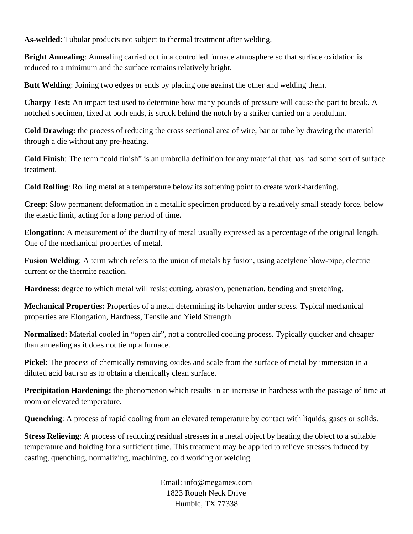**As-welded**: Tubular products not subject to thermal treatment after welding.

**Bright Annealing:** Annealing carried out in a controlled furnace atmosphere so that surface oxidation is reduced to a minimum and the surface remains relatively bright.

**Butt Welding**: Joining two edges or ends by placing one against the other and welding them.

**Charpy Test:** An impact test used to determine how many pounds of pressure will cause the part to break. A notched specimen, fixed at both ends, is struck behind the notch by a striker carried on a pendulum.

**Cold Drawing:** the process of reducing the cross sectional area of wire, bar or tube by drawing the material through a die without any pre-heating.

**Cold Finish**: The term "cold finish" is an umbrella definition for any material that has had some sort of surface treatment.

**Cold Rolling**: Rolling metal at a temperature below its softening point to create work-hardening.

**Creep**: Slow permanent deformation in a metallic specimen produced by a relatively small steady force, below the elastic limit, acting for a long period of time.

**Elongation:** A measurement of the ductility of metal usually expressed as a percentage of the original length. One of the mechanical properties of metal.

**Fusion Welding**: A term which refers to the union of metals by fusion, using acetylene blow-pipe, electric current or the thermite reaction.

**Hardness:** degree to which metal will resist cutting, abrasion, penetration, bending and stretching.

**Mechanical Properties:** Properties of a metal determining its behavior under stress. Typical mechanical properties are Elongation, Hardness, Tensile and Yield Strength.

**Normalized:** Material cooled in "open air", not a controlled cooling process. Typically quicker and cheaper than annealing as it does not tie up a furnace.

**Pickel**: The process of chemically removing oxides and scale from the surface of metal by immersion in a diluted acid bath so as to obtain a chemically clean surface.

**Precipitation Hardening:** the phenomenon which results in an increase in hardness with the passage of time at room or elevated temperature.

**Quenching**: A process of rapid cooling from an elevated temperature by contact with liquids, gases or solids.

**Stress Relieving**: A process of reducing residual stresses in a metal object by heating the object to a suitable temperature and holding for a sufficient time. This treatment may be applied to relieve stresses induced by casting, quenching, normalizing, machining, cold working or welding.

> Email: info@megamex.com 1823 Rough Neck Drive Humble, TX 77338